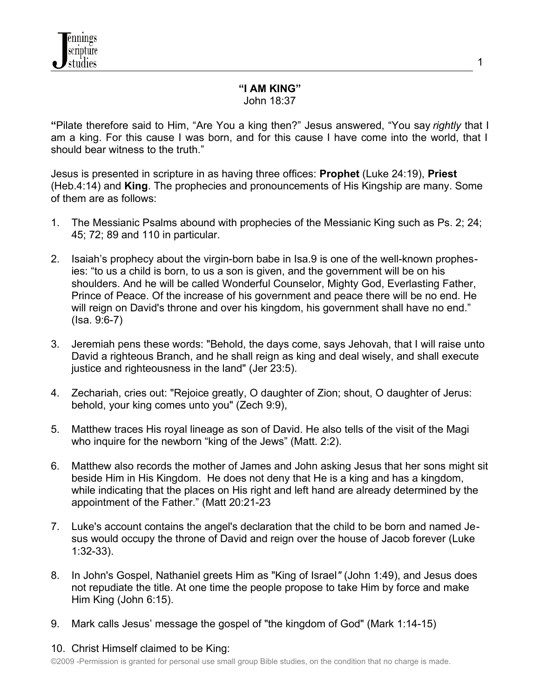# **"I AM KING"**

John 18:37

**"**Pilate therefore said to Him, "Are You a king then?" Jesus answered, "You say *rightly* that I am a king. For this cause I was born, and for this cause I have come into the world, that I should bear witness to the truth."

Jesus is presented in scripture in as having three offices: **Prophet** (Luke 24:19), **Priest** (Heb.4:14) and **King**. The prophecies and pronouncements of His Kingship are many. Some of them are as follows:

- 1. The Messianic Psalms abound with prophecies of the Messianic King such as Ps. 2; 24; 45; 72; 89 and 110 in particular.
- 2. Isaiah's prophecy about the virgin-born babe in Isa.9 is one of the well-known prophesies: "to us a child is born, to us a son is given, and the government will be on his shoulders. And he will be called Wonderful Counselor, Mighty God, Everlasting Father, Prince of Peace. Of the increase of his government and peace there will be no end. He will reign on David's throne and over his kingdom, his government shall have no end." (Isa. 9:6-7)
- 3. Jeremiah pens these words: "Behold, the days come, says Jehovah, that I will raise unto David a righteous Branch, and he shall reign as king and deal wisely, and shall execute justice and righteousness in the land" (Jer 23:5).
- 4. Zechariah, cries out: "Rejoice greatly, O daughter of Zion; shout, O daughter of Jerus: behold, your king comes unto you" (Zech 9:9),
- 5. Matthew traces His royal lineage as son of David. He also tells of the visit of the Magi who inquire for the newborn "king of the Jews" (Matt. 2:2).
- 6. Matthew also records the mother of James and John asking Jesus that her sons might sit beside Him in His Kingdom. He does not deny that He is a king and has a kingdom, while indicating that the places on His right and left hand are already determined by the appointment of the Father." (Matt 20:21-23
- 7. Luke's account contains the angel's declaration that the child to be born and named Jesus would occupy the throne of David and reign over the house of Jacob forever (Luke 1:32-33).
- 8. In John's Gospel, Nathaniel greets Him as "King of Israel*"* (John 1:49), and Jesus does not repudiate the title. At one time the people propose to take Him by force and make Him King (John 6:15).
- 9. Mark calls Jesus' message the gospel of "the kingdom of God" (Mark 1:14-15)

## 10. Christ Himself claimed to be King:

©2009 -Permission is granted for personal use small group Bible studies, on the condition that no charge is made.

1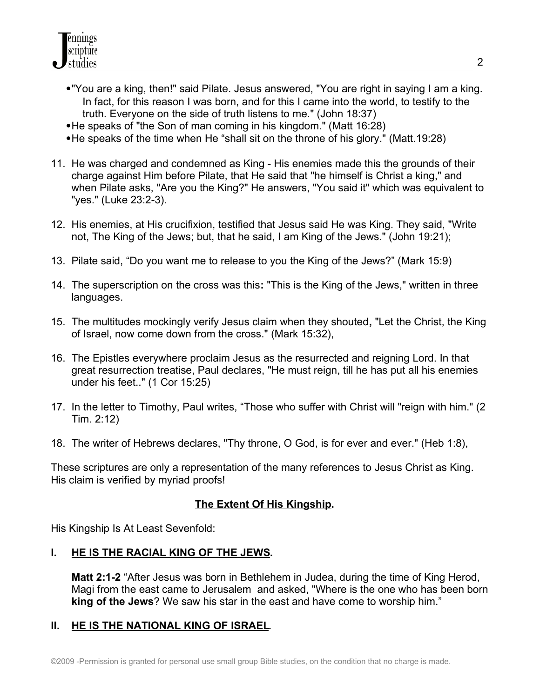- "You are a king, then!" said Pilate. Jesus answered, "You are right in saying I am a king. In fact, for this reason I was born, and for this I came into the world, to testify to the truth. Everyone on the side of truth listens to me." (John 18:37)
- He speaks of "the Son of man coming in his kingdom." (Matt 16:28)
- He speaks of the time when He "shall sit on the throne of his glory." (Matt.19:28)
- 11. He was charged and condemned as King His enemies made this the grounds of their charge against Him before Pilate, that He said that "he himself is Christ a king," and when Pilate asks, "Are you the King?" He answers, "You said it" which was equivalent to "yes." (Luke 23:2-3).
- 12. His enemies, at His crucifixion, testified that Jesus said He was King. They said, "Write not, The King of the Jews; but, that he said, I am King of the Jews." (John 19:21);
- 13. Pilate said, "Do you want me to release to you the King of the Jews?" (Mark 15:9)
- 14. The superscription on the cross was this**:** "This is the King of the Jews," written in three languages.
- 15. The multitudes mockingly verify Jesus claim when they shouted**,** "Let the Christ, the King of Israel, now come down from the cross." (Mark 15:32),
- 16. The Epistles everywhere proclaim Jesus as the resurrected and reigning Lord. In that great resurrection treatise, Paul declares, "He must reign, till he has put all his enemies under his feet.." (1 Cor 15:25)
- 17. In the letter to Timothy, Paul writes, "Those who suffer with Christ will "reign with him." (2 Tim. 2:12)
- 18. The writer of Hebrews declares, "Thy throne, O God, is for ever and ever." (Heb 1:8),

These scriptures are only a representation of the many references to Jesus Christ as King. His claim is verified by myriad proofs!

## **The Extent Of His Kingship.**

His Kingship Is At Least Sevenfold:

#### **I. HE IS THE RACIAL KING OF THE JEWS.**

**Matt 2:1-2** "After Jesus was born in Bethlehem in Judea, during the time of King Herod, Magi from the east came to Jerusalem and asked, "Where is the one who has been born **king of the Jews**? We saw his star in the east and have come to worship him."

#### **II. HE IS THE NATIONAL KING OF ISRAEL**.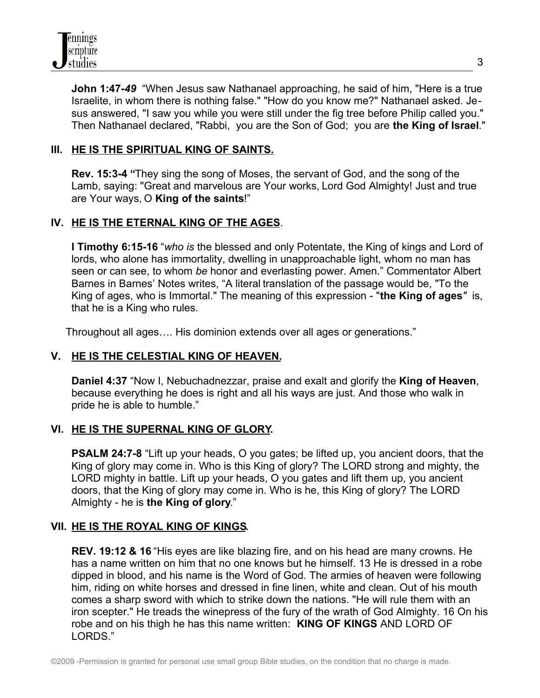

**John 1:47-***49* "When Jesus saw Nathanael approaching, he said of him, "Here is a true Israelite, in whom there is nothing false." "How do you know me?" Nathanael asked. Jesus answered, "I saw you while you were still under the fig tree before Philip called you." Then Nathanael declared, "Rabbi, you are the Son of God; you are **the King of Israel**."

### **III. HE IS THE SPIRITUAL KING OF SAINTS.**

**Rev. 15:3-4 "**They sing the song of Moses, the servant of God, and the song of the Lamb, saying: "Great and marvelous are Your works, Lord God Almighty! Just and true are Your ways, O **King of the saints**!"

#### **IV. HE IS THE ETERNAL KING OF THE AGES**.

**I Timothy 6:15-16** "*who is* the blessed and only Potentate, the King of kings and Lord of lords, who alone has immortality, dwelling in unapproachable light, whom no man has seen or can see, to whom *be* honor and everlasting power. Amen." Commentator Albert Barnes in Barnes' Notes writes, "A literal translation of the passage would be, "To the King of ages, who is Immortal." The meaning of this expression - "**the King of ages***"* is, that he is a King who rules.

Throughout all ages…. His dominion extends over all ages or generations."

#### **V. HE IS THE CELESTIAL KING OF HEAVEN.**

**Daniel 4:37** "Now I, Nebuchadnezzar, praise and exalt and glorify the **King of Heaven**, because everything he does is right and all his ways are just. And those who walk in pride he is able to humble."

#### **VI. HE IS THE SUPERNAL KING OF GLORY.**

**PSALM 24:7-8** "Lift up your heads, O you gates; be lifted up, you ancient doors, that the King of glory may come in. Who is this King of glory? The LORD strong and mighty, the LORD mighty in battle. Lift up your heads, O you gates and lift them up, you ancient doors, that the King of glory may come in. Who is he, this King of glory? The LORD Almighty - he is **the King of glory**."

#### **VII. HE IS THE ROYAL KING OF KINGS.**

**REV. 19:12 & 16** "His eyes are like blazing fire, and on his head are many crowns. He has a name written on him that no one knows but he himself. 13 He is dressed in a robe dipped in blood, and his name is the Word of God. The armies of heaven were following him, riding on white horses and dressed in fine linen, white and clean. Out of his mouth comes a sharp sword with which to strike down the nations. "He will rule them with an iron scepter." He treads the winepress of the fury of the wrath of God Almighty. 16 On his robe and on his thigh he has this name written: **KING OF KINGS** AND LORD OF LORDS."